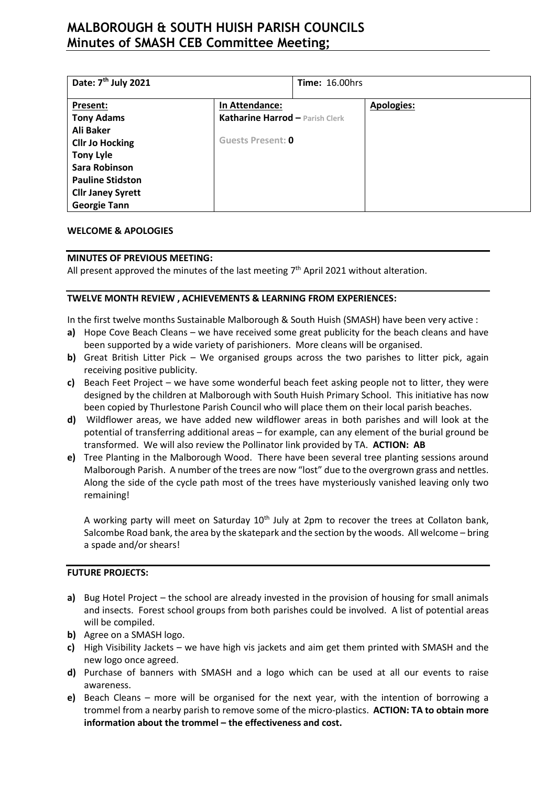# **MALBOROUGH & SOUTH HUISH PARISH COUNCILS Minutes of SMASH CEB Committee Meeting;**

| Date: 7 <sup>th</sup> July 2021 |                                 | <b>Time: 16.00hrs</b> |                   |
|---------------------------------|---------------------------------|-----------------------|-------------------|
| Present:                        | In Attendance:                  |                       | <b>Apologies:</b> |
| <b>Tony Adams</b>               | Katharine Harrod - Parish Clerk |                       |                   |
| Ali Baker                       |                                 |                       |                   |
| <b>Cllr Jo Hocking</b>          | <b>Guests Present: 0</b>        |                       |                   |
| <b>Tony Lyle</b>                |                                 |                       |                   |
| <b>Sara Robinson</b>            |                                 |                       |                   |
| <b>Pauline Stidston</b>         |                                 |                       |                   |
| <b>Cllr Janey Syrett</b>        |                                 |                       |                   |
| <b>Georgie Tann</b>             |                                 |                       |                   |

### **WELCOME & APOLOGIES**

### **MINUTES OF PREVIOUS MEETING:**

All present approved the minutes of the last meeting  $7<sup>th</sup>$  April 2021 without alteration.

#### **TWELVE MONTH REVIEW , ACHIEVEMENTS & LEARNING FROM EXPERIENCES:**

In the first twelve months Sustainable Malborough & South Huish (SMASH) have been very active :

- **a)** Hope Cove Beach Cleans we have received some great publicity for the beach cleans and have been supported by a wide variety of parishioners. More cleans will be organised.
- **b)** Great British Litter Pick We organised groups across the two parishes to litter pick, again receiving positive publicity.
- **c)** Beach Feet Project we have some wonderful beach feet asking people not to litter, they were designed by the children at Malborough with South Huish Primary School. This initiative has now been copied by Thurlestone Parish Council who will place them on their local parish beaches.
- **d)** Wildflower areas, we have added new wildflower areas in both parishes and will look at the potential of transferring additional areas – for example, can any element of the burial ground be transformed. We will also review the Pollinator link provided by TA. **ACTION: AB**
- **e)** Tree Planting in the Malborough Wood. There have been several tree planting sessions around Malborough Parish. A number of the trees are now "lost" due to the overgrown grass and nettles. Along the side of the cycle path most of the trees have mysteriously vanished leaving only two remaining!

A working party will meet on Saturday 10<sup>th</sup> July at 2pm to recover the trees at Collaton bank, Salcombe Road bank, the area by the skatepark and the section by the woods. All welcome – bring a spade and/or shears!

### **FUTURE PROJECTS:**

- **a)** Bug Hotel Project the school are already invested in the provision of housing for small animals and insects. Forest school groups from both parishes could be involved. A list of potential areas will be compiled.
- **b)** Agree on a SMASH logo.
- **c)** High Visibility Jackets we have high vis jackets and aim get them printed with SMASH and the new logo once agreed.
- **d)** Purchase of banners with SMASH and a logo which can be used at all our events to raise awareness.
- **e)** Beach Cleans more will be organised for the next year, with the intention of borrowing a trommel from a nearby parish to remove some of the micro-plastics. **ACTION: TA to obtain more information about the trommel – the effectiveness and cost.**